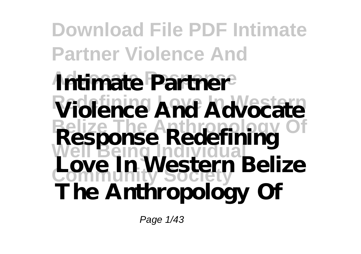**Download File PDF Intimate Partner Violence And Intimate Partner Violence And Advocate Belize The Anthropology Of Response Redefining Well Being Individual Community Society Love In Western Belize The Anthropology Of**

Page 1/43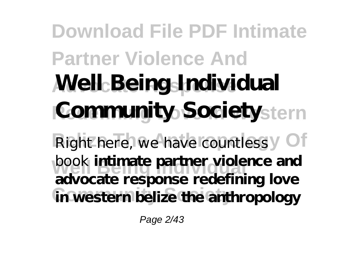## **Download File PDF Intimate Partner Violence And Advocate Response Well Being Individual Community Society** stern Right here, we have countless y Of **book** intimate partner violence and in western belize the anthropology **advocate response redefining love**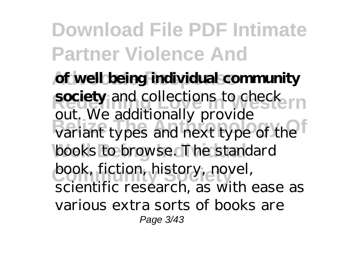of well being individual community **society** and collections to check<sub>ern</sub> variant types and next type of the books to browse. The standard book, fiction, history, novel, out. We additionally provide scientific research, as with ease as various extra sorts of books are Page 3/43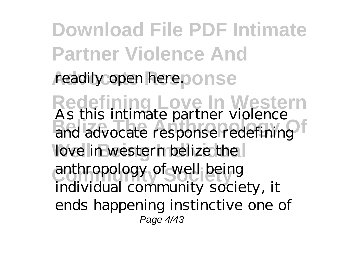**Download File PDF Intimate Partner Violence And** readily open here.ponse **Redefining Love In Western** and advocate response redefining love in western belize the anthropology of well being As this intimate partner violence and advocate response redefining individual community society, it ends happening instinctive one of Page 4/43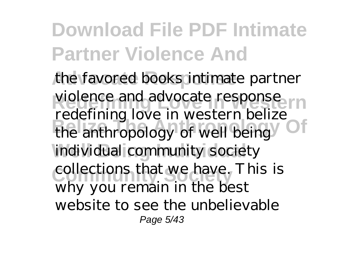the favored books intimate partner violence and advocate response<sub>ern</sub> **Belize The Anthropology Of** the anthropology of well being individual community society collections that we have. This is redefining love in western belize why you remain in the best website to see the unbelievable Page 5/43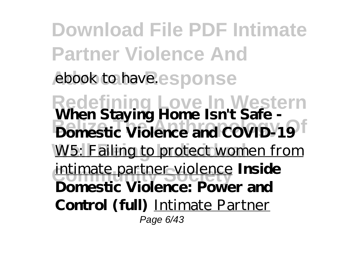**Download File PDF Intimate Partner Violence And** ebook to have.esponse **Redefining Love In Western When Staying Home Isn't Safe - Bellize The Anti-Barry Office The Anti-Barry Office The Anti-Barry Office The Anti-**W5: Failing to protect women from intimate partner violence **Inside Domestic Violence: Power and Control (full)** Intimate Partner Page 6/43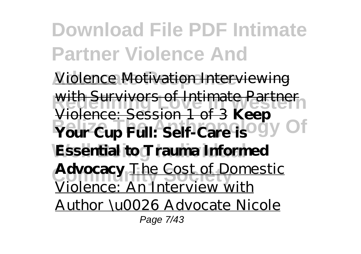**Download File PDF Intimate Partner Violence And Violence Motivation Interviewing** with Survivors of Intimate Partner **Prour Cup Full: Self-Care is Ogy Of Well Being Individual Essential to Trauma Informed Advocacy** The Cost of Domestic Violence: Session 1 of 3 **Keep** Violence: An Interview with Author \u0026 Advocate Nicole Page 7/43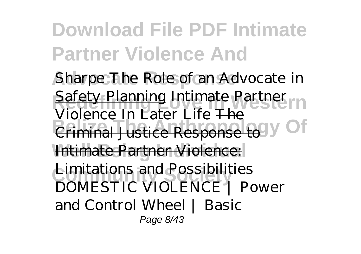**Download File PDF Intimate Partner Violence And** Sharpe The Role of an Advocate in **Redety Planning Intimate Partner Criminal Justice Response to V Of Intimate Partner Violence: Emitations and Possibilities<br>DOMESTIC VIOLENCE | Power** Violence In Later Life The Limitations and Possibilities and Control Wheel | Basic Page 8/43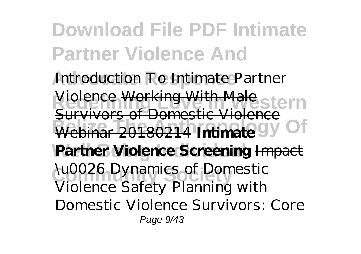**Download File PDF Intimate Partner Violence And** Introduction To Intimate Partner **Redefining Love In Western** Violence Working With Male **Burrings of Bollistic Violence** Of Partner Violence Screening Impact **Lu0026 Dynamics of Domestic Survivors of Domestic Viol** Violence *Safety Planning with Domestic Violence Survivors: Core* Page 9/43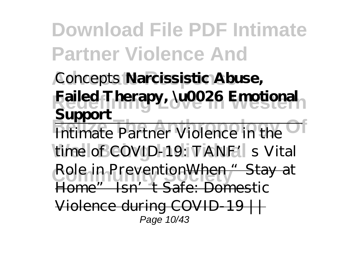**Advocate Response** *Concepts* **Narcissistic Abuse, Redefining Love In Western Failed Therapy, \u0026 Emotional Belize The Anti-** Partner Violence in the time of COVID-19: TANF's Vital Role in PreventionWhen "Stay at **Support**

Home" Isn't Safe: Domestic

Violence during COVID-19 Page 10/43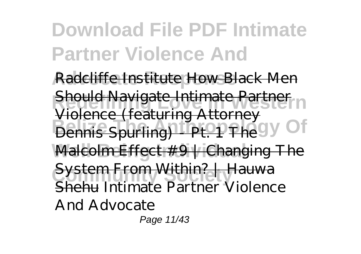**Radcliffe Institute How Black Men Should Navigate Intimate Partner** n **Bennis Spurling) - Pt. 1 The Gy Of** Malcolm Effect #9 | Changing The System From Within? | Hauwa featuring Attorn Shehu *Intimate Partner Violence And Advocate* Page 11/43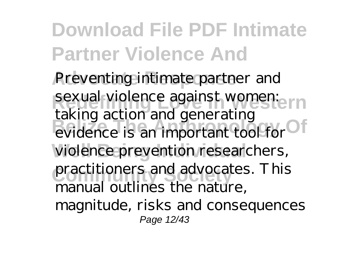**Download File PDF Intimate Partner Violence And** Preventing intimate partner and sexual violence against women:ern **Belize The Anti-**<br>evidence is an important tool for violence prevention researchers, practitioners and advocates. This taking action and generating manual outlines the nature, magnitude, risks and consequences Page 12/43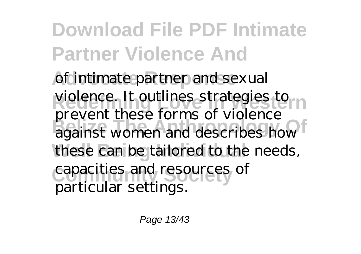of intimate partner and sexual violence. It outlines strategies to m **BELIZE THE ANTIFICATE THE ANTIFICATE** these can be tailored to the needs, capacities and resources of prevent these forms of violence particular settings.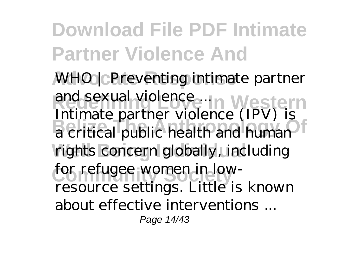**Advocate Response** *WHO | Preventing intimate partner* and sexual violence ... In Western **Belize The Anthropology Of** a critical public health and human rights concern globally, including for refugee women in low-Intimate partner violence (IPV) is resource settings. Little is known about effective interventions Page 14/43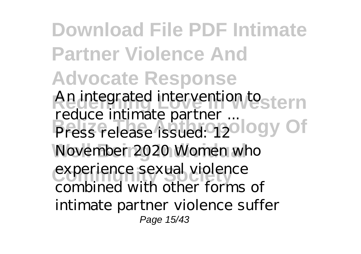**Download File PDF Intimate Partner Violence And Advocate Response Redefining Love In Western** *An integrated intervention to* **Press release issued 12 logy Of** November 2020 Women who experience sexual violence *reduce intimate partner ...* Press release issued: 12 combined with other forms of intimate partner violence suffer Page 15/43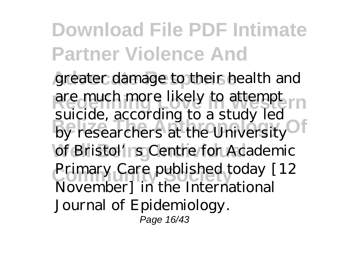greater damage to their health and are much more likely to attempt <sub>rn</sub> buche, according to a stady fea of Bristol's Centre for Academic Primary Care published today [12] suicide, according to a study led November] in the International Journal of Epidemiology. Page 16/43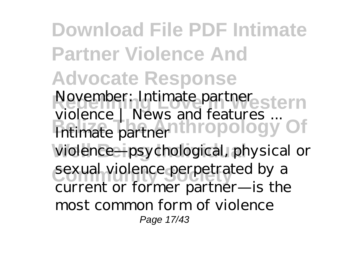**Download File PDF Intimate Partner Violence And Advocate Response Redefining Love In Western** *November: Intimate partner* **Beling The WS and Teatures** ... violence—psychological, physical or sexual violence perpetrated by a *violence | News and features ...* Intimate partner current or former partner—is the most common form of violence Page 17/43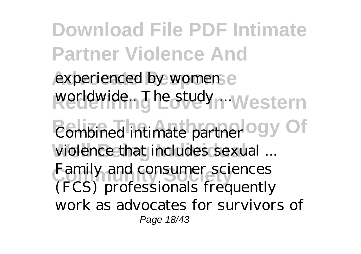**Download File PDF Intimate Partner Violence And** experienced by women e worldwide... The study ... Western *Combined intimate partner* ogy Of **Well Being Individual** *violence that includes sexual ...* **Family and consumer sciences** (FCS) professionals frequently work as advocates for survivors of Page 18/43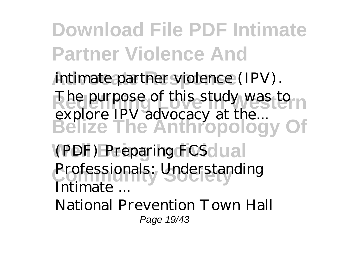intimate partner violence (IPV). The purpose of this study was to n **Belize The Anthropology Of** explore IPV advocacy at the...

*(PDF) Preparing FCS*<sup>d</sup>ual Professionals: Understanding *Intimate ...*

National Prevention Town Hall Page 19/43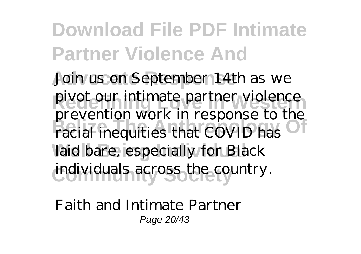**Download File PDF Intimate Partner Violence And** Join us on September 14th as we **Redefining Love In Western** pivot our intimate partner violence prevention work in response to the laid bare, especially for Black individuals across the country. prevention work in response to the

*Faith and Intimate Partner* Page 20/43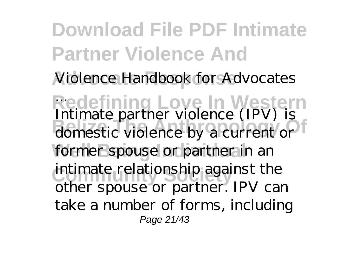**Download File PDF Intimate Partner Violence And Advocate Response** *Violence Handbook for Advocates* **Redefining Love In Western** *...* **B** domestic violence by a current or former spouse or partner in an intimate relationship against the Intimate partner violence (IPV) is other spouse or partner. IPV can take a number of forms, including Page 21/43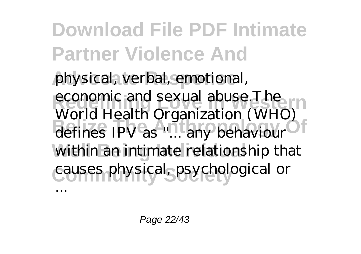**Download File PDF Intimate Partner Violence And** physical, verbal, emotional, economic and sexual abuse.The defines IPV as "... any behaviour<sup>of</sup> within an intimate relationship that **Community Society** causes physical, psychological or World Health Organization (WHO) ...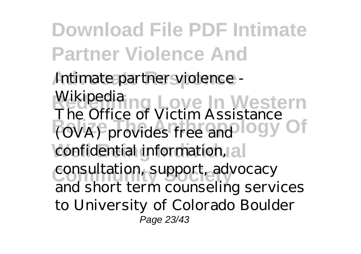**Download File PDF Intimate Partner Violence And Advocate Response** *Intimate partner violence - Wikipedia* **ng Love In Western Belize The Since St Victor Assistance** Of confidential information, a The Office of Victim Assistance

**Community Society** consultation, support, advocacy and short term counseling services to University of Colorado Boulder Page 23/43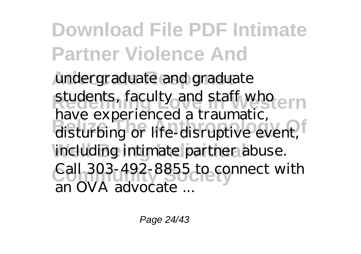**Advocate Response** undergraduate and graduate students, faculty and staff who ern disturbing or life-disruptive event, including intimate partner abuse. Call 303-492-8855 to connect with have experienced a traumatic, an OVA advocate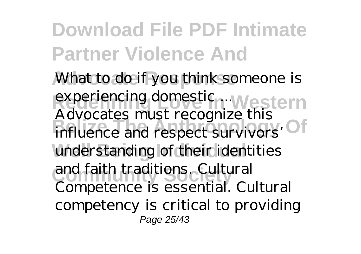**Advocate Response** *What to do if you think someone is experiencing domestic ...* Western **Buyocuce** *Belings* The Antiunderstanding of their identities and faith traditions. Cultural Advocates must recognize this influence and respect survivors' Competence is essential. Cultural competency is critical to providing Page 25/43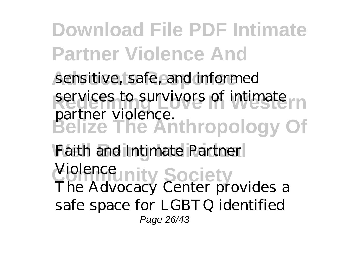sensitive, safe, and informed services to survivors of intimate **Belize The Anthropology Of** partner violence.

**Well Being Individual** *Faith and Intimate Partner <u>Violence</u>* Inty Society The Advocacy Center provides a safe space for LGBTQ identified Page 26/43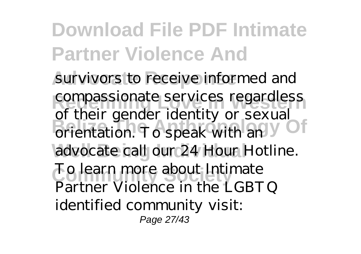**Download File PDF Intimate Partner Violence And** survivors to receive informed and compassionate services regardless orientation. To speak with an advocate call our 24 Hour Hotline. To learn more about Intimate of their gender identity or sexual Partner Violence in the LGBTQ identified community visit: Page 27/43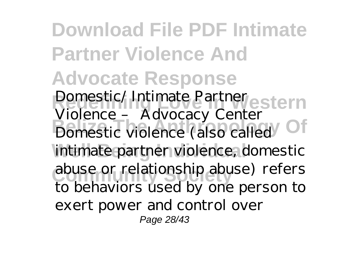**Download File PDF Intimate Partner Violence And Advocate Response Redefining Love In Western** *Domestic/ Intimate Partner* **Bomestic Violence (also called)** intimate partner violence, domestic abuse or relationship abuse) refers *Violence – Advocacy Center* to behaviors used by one person to exert power and control over Page 28/43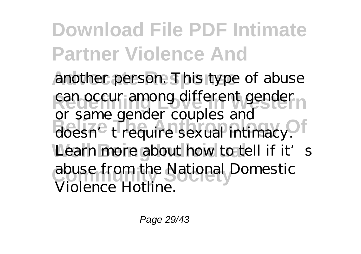**Download File PDF Intimate Partner Violence And** another person. This type of abuse can occur among different gender<sub>n</sub> doesn't require sexual intimacy. Learn more about how to tell if it's abuse from the National Domestic or same gender couples and Violence Hotline.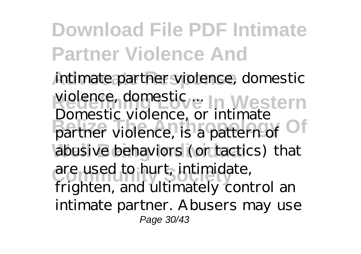**Download File PDF Intimate Partner Violence And Advocate Response** *intimate partner violence, domestic* **Redefining Love In Western** *violence, domestic ...* **B**elize Violence, is a pattern of abusive behaviors (or tactics) that are used to hurt, intimidate, Domestic violence, or intimate frighten, and ultimately control an intimate partner. Abusers may use

Page 30/43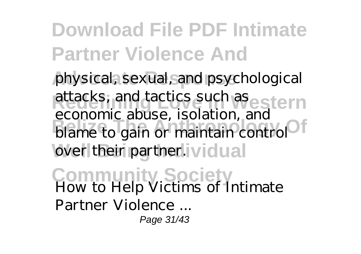physical, sexual, and psychological attacks, and tactics such as estern blame to gain or maintain control<sup>of</sup> over their partner.ividual economic abuse, isolation, and

**Community Society** *How to Help Victims of Intimate Partner Violence ...* Page 31/43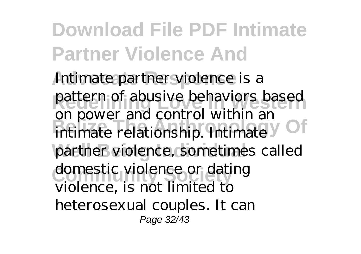**Download File PDF Intimate Partner Violence And** Intimate partner violence is a pattern of abusive behaviors based **Belize The Anti-** Control Within and Official Intimate y partner violence, sometimes called domestic violence or dating on power and control within an violence, is not limited to heterosexual couples. It can Page 32/43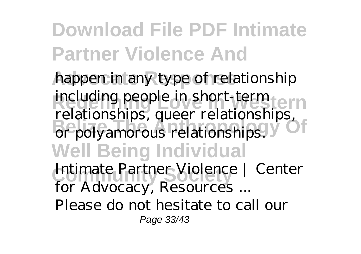happen in any type of relationship **Reducing people in short-term term Belize The Anti-**<br>**Belize The Anti-**<br>**Belize The Anti-Well Being Individual Community Society** *Intimate Partner Violence | Center* including people in short-term relationships, queer relationships, or polyamorous relationships.

*for Advocacy, Resources ...*

Please do not hesitate to call our Page 33/43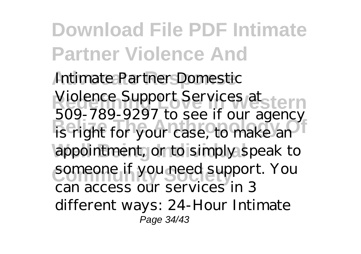**Download File PDF Intimate Partner Violence And Intimate Partner Domestic** Violence Support Services at stern **BELIZE THE ANTIFICIAL SECT** TO BE A GREEN SECTION appointment, or to simply speak to someone if you need support. You 509-789-9297 to see if our agency can access our services in 3 different ways: 24-Hour Intimate Page 34/43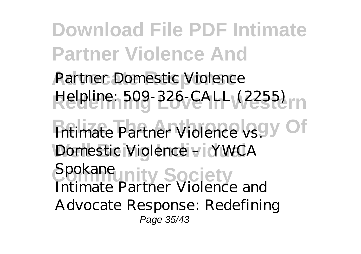**Download File PDF Intimate Partner Violence And** Partner Domestic Violence Helpline: 509-326-CALL (2255) *Intimate Partner Violence vs. V* Of **Well Being Individual** *Domestic Violence – YWCA Spokane* ity Society Intimate Partner Violence and Advocate Response: Redefining Page 35/43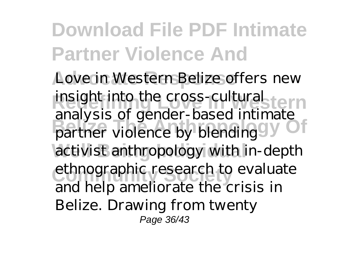**Download File PDF Intimate Partner Violence And** Love in Western Belize offers new insight into the cross-cultural tern **B**elia Based Indianale activist anthropology with in-depth ethnographic research to evaluate analysis of gender-based intimate

and help ameliorate the crisis in Belize. Drawing from twenty

Page 36/43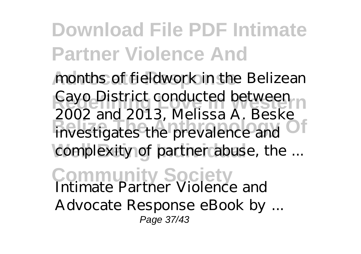months of fieldwork in the Belizean Cayo District conducted between **Believe The Anti-Belling Cook** and 2010, *included in Believe* complexity of partner abuse, the ... 2002 and 2013, Melissa A. Beske

**Community Society** *Intimate Partner Violence and Advocate Response eBook by ...* Page 37/43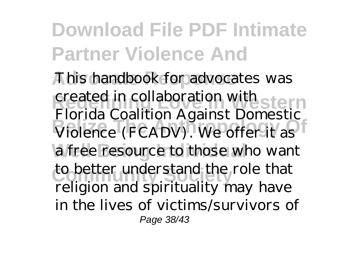This handbook for advocates was created in collaboration with stern **Belize The Anthropology Of** Violence (FCADV). We offer it as a free resource to those who want to better understand the role that Florida Coalition Against Domestic religion and spirituality may have in the lives of victims/survivors of Page 38/43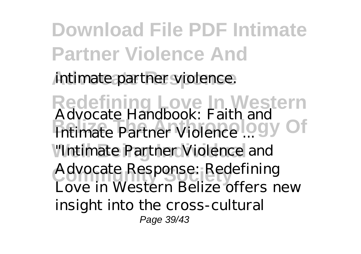**Download File PDF Intimate Partner Violence And** intimate partner violence. **Redefining Love In Western** *Advocate Handbook: Faith and Belize The Book: 1 did and Of* "Intimate Partner Violence and Advocate Response: Redefining Love in Western Belize offers new insight into the cross-cultural Page 39/43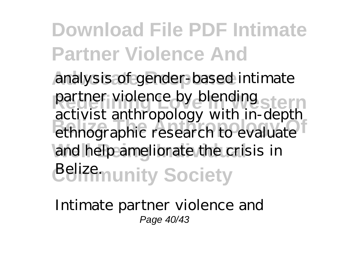analysis of gender-based intimate partner violence by blending stern **Belize The Anthropology Of** ethnographic research to evaluate and help ameliorate the crisis in *Belizemunity Society* activist anthropology with in-depth

*Intimate partner violence and* Page 40/43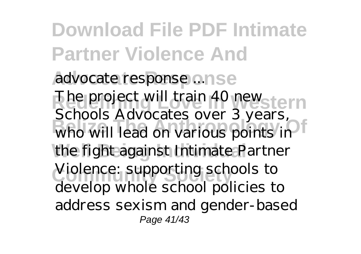**Download File PDF Intimate Partner Violence And Advocate Response** *advocate response ...* **Redefining Love In Western** The project will train 40 new **Belized** The Belize Sector of Sections The Who the fight against Intimate Partner **Community Society** Violence: supporting schools to Schools Advocates over 3 years, who will lead on various points in develop whole school policies to address sexism and gender-based Page 41/43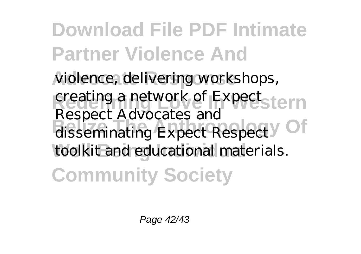**Download File PDF Intimate Partner Violence And** violence, delivering workshops, creating a network of Expectstern disseminating Expect Respect <sup>Of</sup> toolkit and educational materials. **Community Society** Respect Advocates and

Page 42/43